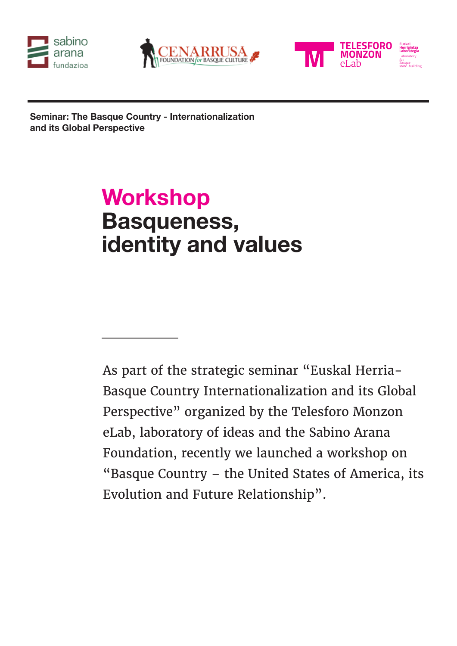





**Seminar: The Basque Country - Internationalization and its Global Perspective**

# **Workshop Basqueness, identity and values**

As part of the strategic seminar "Euskal Herria-Basque Country Internationalization and its Global Perspective" organized by the Telesforo Monzon eLab, laboratory of ideas and the Sabino Arana Foundation, recently we launched a workshop on "Basque Country – the United States of America, its Evolution and Future Relationship".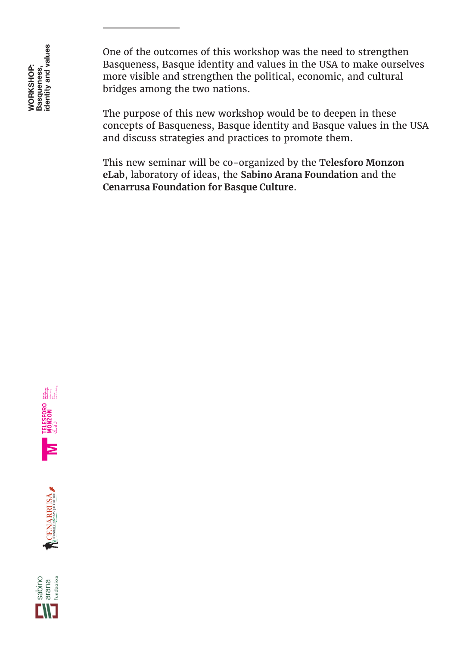One of the outcomes of this workshop was the need to strengthen Basqueness, Basque identity and values in the USA to make ourselves more visible and strengthen the political, economic, and cultural bridges among the two nations.

The purpose of this new workshop would be to deepen in these concepts of Basqueness, Basque identity and Basque values in the USA and discuss strategies and practices to promote them.

This new seminar will be co-organized by the **Telesforo Monzon eLab**, laboratory of ideas, the **Sabino Arana Foundation** and the **Cenarrusa Foundation for Basque Culture**.





sabino<br>arana<br><sub>fundazioa</sub>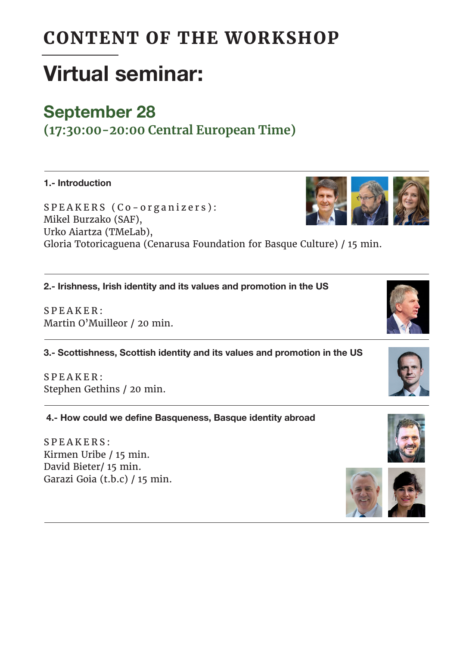### CONTENT OF THE WORKSHOP

## **Virtual seminar:**

#### **September 28**

**(17:30:00-20:00 Central European Time)**

**1.- Introduction**

SPEAKERS (Co-organizers): Mikel Burzako (SAF), Urko Aiartza (TMeLab), Gloria Totoricaguena (Cenarusa Foundation for Basque Culture) / 15 min.

**2.- Irishness, Irish identity and its values and promotion in the US**

SPEAKER: Martin O'Muilleor / 20 min.

**3.- Scottishness, Scottish identity and its values and promotion in the US** 

 $S$  P E A K E R : Stephen Gethins / 20 min.

 **4.- How could we define Basqueness, Basque identity abroad**

SPEAKERS: Kirmen Uribe / 15 min. David Bieter/ 15 min. Garazi Goia (t.b.c) / 15 min.